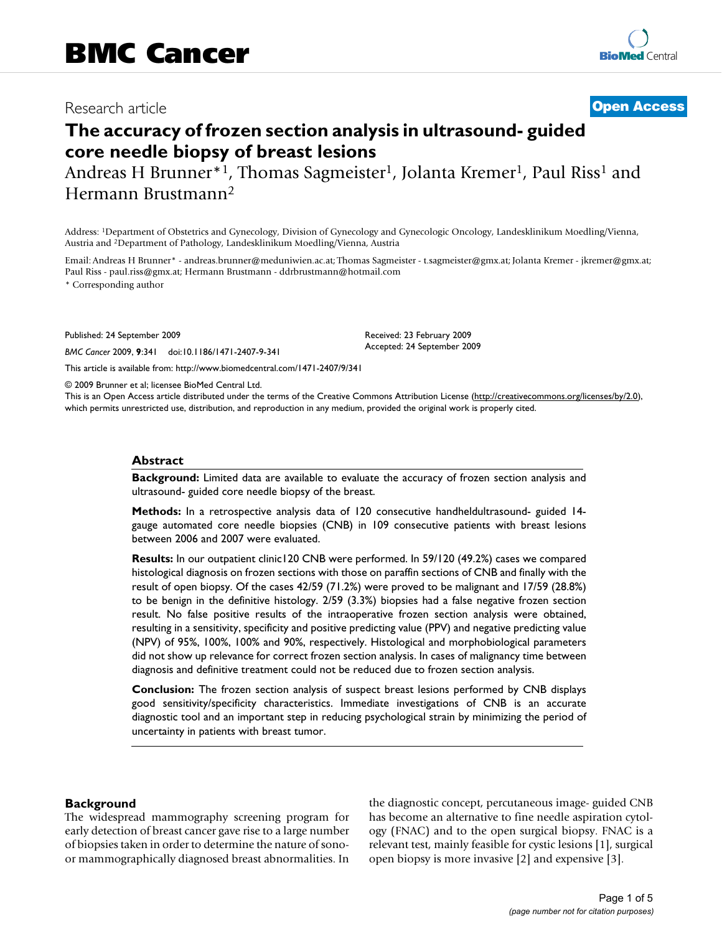# Research article

# **[Open Access](http://www.biomedcentral.com/info/about/charter/)**

# **The accuracy of frozen section analysis in ultrasound- guided core needle biopsy of breast lesions**

Andreas H Brunner<sup>\*1</sup>, Thomas Sagmeister<sup>1</sup>, Jolanta Kremer<sup>1</sup>, Paul Riss<sup>1</sup> and Hermann Brustmann2

Address: 1Department of Obstetrics and Gynecology, Division of Gynecology and Gynecologic Oncology, Landesklinikum Moedling/Vienna, Austria and 2Department of Pathology, Landesklinikum Moedling/Vienna, Austria

Email: Andreas H Brunner\* - andreas.brunner@meduniwien.ac.at; Thomas Sagmeister - t.sagmeister@gmx.at; Jolanta Kremer - jkremer@gmx.at; Paul Riss - paul.riss@gmx.at; Hermann Brustmann - ddrbrustmann@hotmail.com

> Received: 23 February 2009 Accepted: 24 September 2009

\* Corresponding author

Published: 24 September 2009

*BMC Cancer* 2009, **9**:341 doi:10.1186/1471-2407-9-341

[This article is available from: http://www.biomedcentral.com/1471-2407/9/341](http://www.biomedcentral.com/1471-2407/9/341)

© 2009 Brunner et al; licensee BioMed Central Ltd.

This is an Open Access article distributed under the terms of the Creative Commons Attribution License [\(http://creativecommons.org/licenses/by/2.0\)](http://creativecommons.org/licenses/by/2.0), which permits unrestricted use, distribution, and reproduction in any medium, provided the original work is properly cited.

#### **Abstract**

**Background:** Limited data are available to evaluate the accuracy of frozen section analysis and ultrasound- guided core needle biopsy of the breast.

**Methods:** In a retrospective analysis data of 120 consecutive handheldultrasound- guided 14 gauge automated core needle biopsies (CNB) in 109 consecutive patients with breast lesions between 2006 and 2007 were evaluated.

**Results:** In our outpatient clinic120 CNB were performed. In 59/120 (49.2%) cases we compared histological diagnosis on frozen sections with those on paraffin sections of CNB and finally with the result of open biopsy. Of the cases 42/59 (71.2%) were proved to be malignant and 17/59 (28.8%) to be benign in the definitive histology. 2/59 (3.3%) biopsies had a false negative frozen section result. No false positive results of the intraoperative frozen section analysis were obtained, resulting in a sensitivity, specificity and positive predicting value (PPV) and negative predicting value (NPV) of 95%, 100%, 100% and 90%, respectively. Histological and morphobiological parameters did not show up relevance for correct frozen section analysis. In cases of malignancy time between diagnosis and definitive treatment could not be reduced due to frozen section analysis.

**Conclusion:** The frozen section analysis of suspect breast lesions performed by CNB displays good sensitivity/specificity characteristics. Immediate investigations of CNB is an accurate diagnostic tool and an important step in reducing psychological strain by minimizing the period of uncertainty in patients with breast tumor.

#### **Background**

The widespread mammography screening program for early detection of breast cancer gave rise to a large number of biopsies taken in order to determine the nature of sonoor mammographically diagnosed breast abnormalities. In

the diagnostic concept, percutaneous image- guided CNB has become an alternative to fine needle aspiration cytology (FNAC) and to the open surgical biopsy. FNAC is a relevant test, mainly feasible for cystic lesions [\[1\]](#page-4-0), surgical open biopsy is more invasive [\[2\]](#page-4-1) and expensive [\[3](#page-4-2)].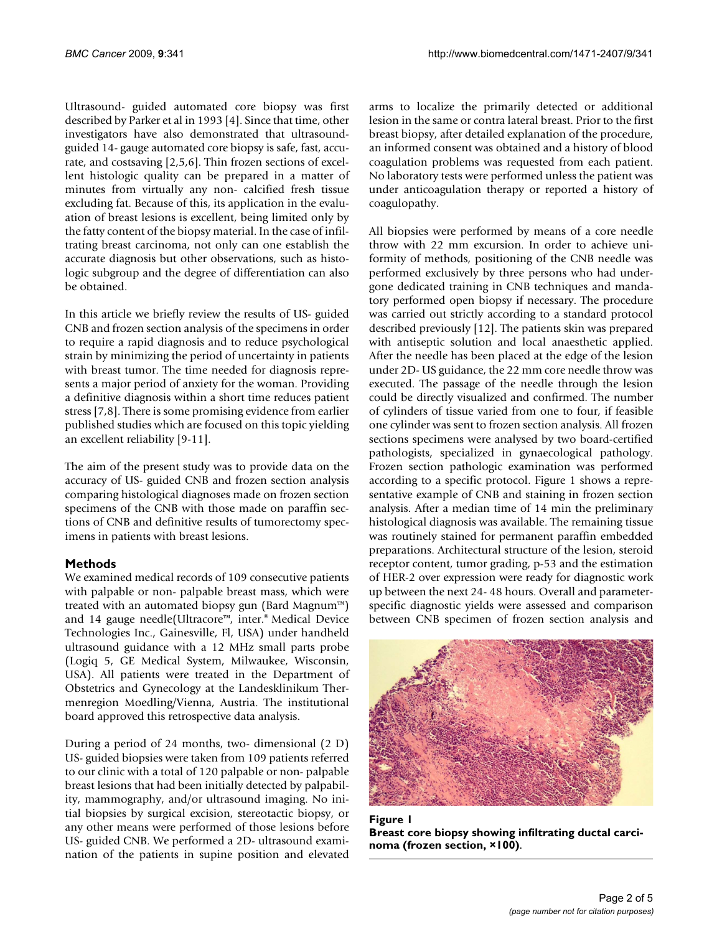Ultrasound- guided automated core biopsy was first described by Parker et al in 1993 [\[4\]](#page-4-3). Since that time, other investigators have also demonstrated that ultrasoundguided 14- gauge automated core biopsy is safe, fast, accurate, and costsaving [[2](#page-4-1),[5](#page-4-4)[,6\]](#page-4-5). Thin frozen sections of excellent histologic quality can be prepared in a matter of minutes from virtually any non- calcified fresh tissue excluding fat. Because of this, its application in the evaluation of breast lesions is excellent, being limited only by the fatty content of the biopsy material. In the case of infiltrating breast carcinoma, not only can one establish the accurate diagnosis but other observations, such as histologic subgroup and the degree of differentiation can also be obtained.

In this article we briefly review the results of US- guided CNB and frozen section analysis of the specimens in order to require a rapid diagnosis and to reduce psychological strain by minimizing the period of uncertainty in patients with breast tumor. The time needed for diagnosis represents a major period of anxiety for the woman. Providing a definitive diagnosis within a short time reduces patient stress [[7](#page-4-6),[8](#page-4-7)]. There is some promising evidence from earlier published studies which are focused on this topic yielding an excellent reliability [[9](#page-4-8)[-11](#page-4-9)].

The aim of the present study was to provide data on the accuracy of US- guided CNB and frozen section analysis comparing histological diagnoses made on frozen section specimens of the CNB with those made on paraffin sections of CNB and definitive results of tumorectomy specimens in patients with breast lesions.

## **Methods**

We examined medical records of 109 consecutive patients with palpable or non- palpable breast mass, which were treated with an automated biopsy gun (Bard Magnum™) and 14 gauge needle(Ultracore™, inter.® Medical Device Technologies Inc., Gainesville, Fl, USA) under handheld ultrasound guidance with a 12 MHz small parts probe (Logiq 5, GE Medical System, Milwaukee, Wisconsin, USA). All patients were treated in the Department of Obstetrics and Gynecology at the Landesklinikum Thermenregion Moedling/Vienna, Austria. The institutional board approved this retrospective data analysis.

During a period of 24 months, two- dimensional (2 D) US- guided biopsies were taken from 109 patients referred to our clinic with a total of 120 palpable or non- palpable breast lesions that had been initially detected by palpability, mammography, and/or ultrasound imaging. No initial biopsies by surgical excision, stereotactic biopsy, or any other means were performed of those lesions before US- guided CNB. We performed a 2D- ultrasound examination of the patients in supine position and elevated

arms to localize the primarily detected or additional lesion in the same or contra lateral breast. Prior to the first breast biopsy, after detailed explanation of the procedure, an informed consent was obtained and a history of blood coagulation problems was requested from each patient. No laboratory tests were performed unless the patient was under anticoagulation therapy or reported a history of coagulopathy.

All biopsies were performed by means of a core needle throw with 22 mm excursion. In order to achieve uniformity of methods, positioning of the CNB needle was performed exclusively by three persons who had undergone dedicated training in CNB techniques and mandatory performed open biopsy if necessary. The procedure was carried out strictly according to a standard protocol described previously [\[12](#page-4-10)]. The patients skin was prepared with antiseptic solution and local anaesthetic applied. After the needle has been placed at the edge of the lesion under 2D- US guidance, the 22 mm core needle throw was executed. The passage of the needle through the lesion could be directly visualized and confirmed. The number of cylinders of tissue varied from one to four, if feasible one cylinder was sent to frozen section analysis. All frozen sections specimens were analysed by two board-certified pathologists, specialized in gynaecological pathology. Frozen section pathologic examination was performed according to a specific protocol. Figure [1](#page-1-0) shows a representative example of CNB and staining in frozen section analysis. After a median time of 14 min the preliminary histological diagnosis was available. The remaining tissue was routinely stained for permanent paraffin embedded preparations. Architectural structure of the lesion, steroid receptor content, tumor grading, p-53 and the estimation of HER-2 over expression were ready for diagnostic work up between the next 24- 48 hours. Overall and parameterspecific diagnostic yields were assessed and comparison between CNB specimen of frozen section analysis and

<span id="page-1-0"></span>

Figure 1 **Breast core biopsy showing infiltrating ductal carcinoma (frozen section, ×100)**.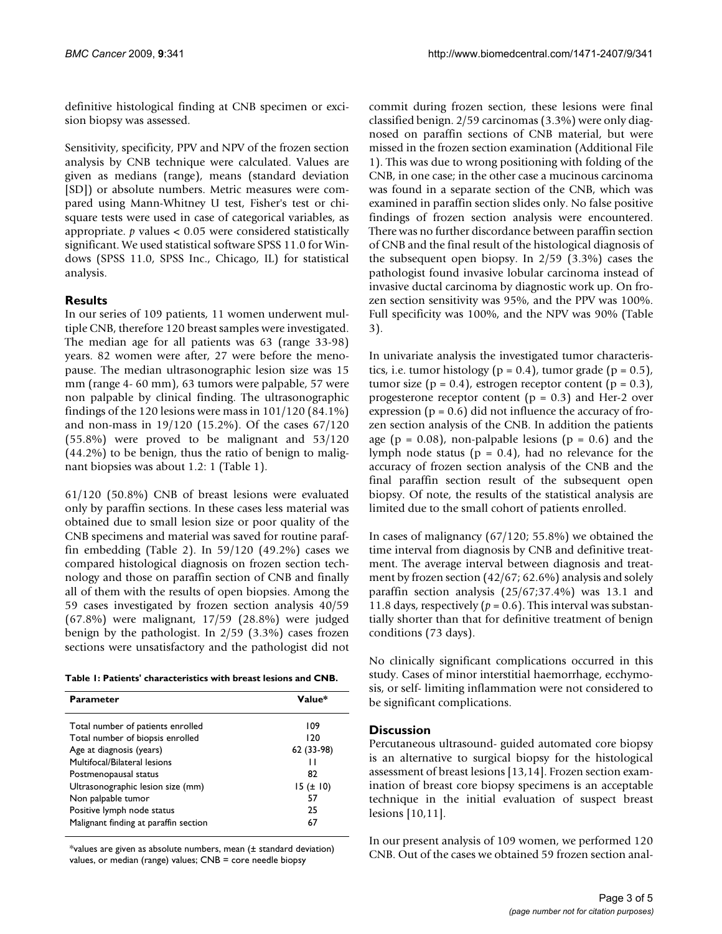definitive histological finding at CNB specimen or excision biopsy was assessed.

Sensitivity, specificity, PPV and NPV of the frozen section analysis by CNB technique were calculated. Values are given as medians (range), means (standard deviation [SD]) or absolute numbers. Metric measures were compared using Mann-Whitney U test, Fisher's test or chisquare tests were used in case of categorical variables, as appropriate. *p* values < 0.05 were considered statistically significant. We used statistical software SPSS 11.0 for Windows (SPSS 11.0, SPSS Inc., Chicago, IL) for statistical analysis.

# **Results**

In our series of 109 patients, 11 women underwent multiple CNB, therefore 120 breast samples were investigated. The median age for all patients was 63 (range 33-98) years. 82 women were after, 27 were before the menopause. The median ultrasonographic lesion size was 15 mm (range 4- 60 mm), 63 tumors were palpable, 57 were non palpable by clinical finding. The ultrasonographic findings of the 120 lesions were mass in 101/120 (84.1%) and non-mass in 19/120 (15.2%). Of the cases 67/120 (55.8%) were proved to be malignant and 53/120 (44.2%) to be benign, thus the ratio of benign to malignant biopsies was about 1.2: 1 (Table [1](#page-2-0)).

61/120 (50.8%) CNB of breast lesions were evaluated only by paraffin sections. In these cases less material was obtained due to small lesion size or poor quality of the CNB specimens and material was saved for routine paraffin embedding (Table [2](#page-3-0)). In 59/120 (49.2%) cases we compared histological diagnosis on frozen section technology and those on paraffin section of CNB and finally all of them with the results of open biopsies. Among the 59 cases investigated by frozen section analysis 40/59 (67.8%) were malignant, 17/59 (28.8%) were judged benign by the pathologist. In 2/59 (3.3%) cases frozen sections were unsatisfactory and the pathologist did not

<span id="page-2-0"></span>

| Value*        |
|---------------|
| 109           |
| 120           |
| 62 (33-98)    |
| н             |
| 82            |
| $15 (\pm 10)$ |
| 57            |
| 25            |
| 67            |
|               |

 $*$ values are given as absolute numbers, mean ( $\pm$  standard deviation) values, or median (range) values; CNB = core needle biopsy

commit during frozen section, these lesions were final classified benign. 2/59 carcinomas (3.3%) were only diagnosed on paraffin sections of CNB material, but were missed in the frozen section examination (Additional File [1](#page-4-11)). This was due to wrong positioning with folding of the CNB, in one case; in the other case a mucinous carcinoma was found in a separate section of the CNB, which was examined in paraffin section slides only. No false positive findings of frozen section analysis were encountered. There was no further discordance between paraffin section of CNB and the final result of the histological diagnosis of the subsequent open biopsy. In 2/59 (3.3%) cases the pathologist found invasive lobular carcinoma instead of invasive ductal carcinoma by diagnostic work up. On frozen section sensitivity was 95%, and the PPV was 100%. Full specificity was 100%, and the NPV was 90% (Table [3](#page-3-1)).

In univariate analysis the investigated tumor characteristics, i.e. tumor histology ( $p = 0.4$ ), tumor grade ( $p = 0.5$ ), tumor size  $(p = 0.4)$ , estrogen receptor content  $(p = 0.3)$ , progesterone receptor content ( $p = 0.3$ ) and Her-2 over expression ( $p = 0.6$ ) did not influence the accuracy of frozen section analysis of the CNB. In addition the patients age ( $p = 0.08$ ), non-palpable lesions ( $p = 0.6$ ) and the lymph node status ( $p = 0.4$ ), had no relevance for the accuracy of frozen section analysis of the CNB and the final paraffin section result of the subsequent open biopsy. Of note, the results of the statistical analysis are limited due to the small cohort of patients enrolled.

In cases of malignancy (67/120; 55.8%) we obtained the time interval from diagnosis by CNB and definitive treatment. The average interval between diagnosis and treatment by frozen section (42/67; 62.6%) analysis and solely paraffin section analysis (25/67;37.4%) was 13.1 and 11.8 days, respectively ( $p = 0.6$ ). This interval was substantially shorter than that for definitive treatment of benign conditions (73 days).

No clinically significant complications occurred in this study. Cases of minor interstitial haemorrhage, ecchymosis, or self- limiting inflammation were not considered to be significant complications.

#### **Discussion**

Percutaneous ultrasound- guided automated core biopsy is an alternative to surgical biopsy for the histological assessment of breast lesions [[13](#page-4-12)[,14](#page-4-13)]. Frozen section examination of breast core biopsy specimens is an acceptable technique in the initial evaluation of suspect breast lesions [\[10](#page-4-14),[11](#page-4-9)].

In our present analysis of 109 women, we performed 120 CNB. Out of the cases we obtained 59 frozen section anal-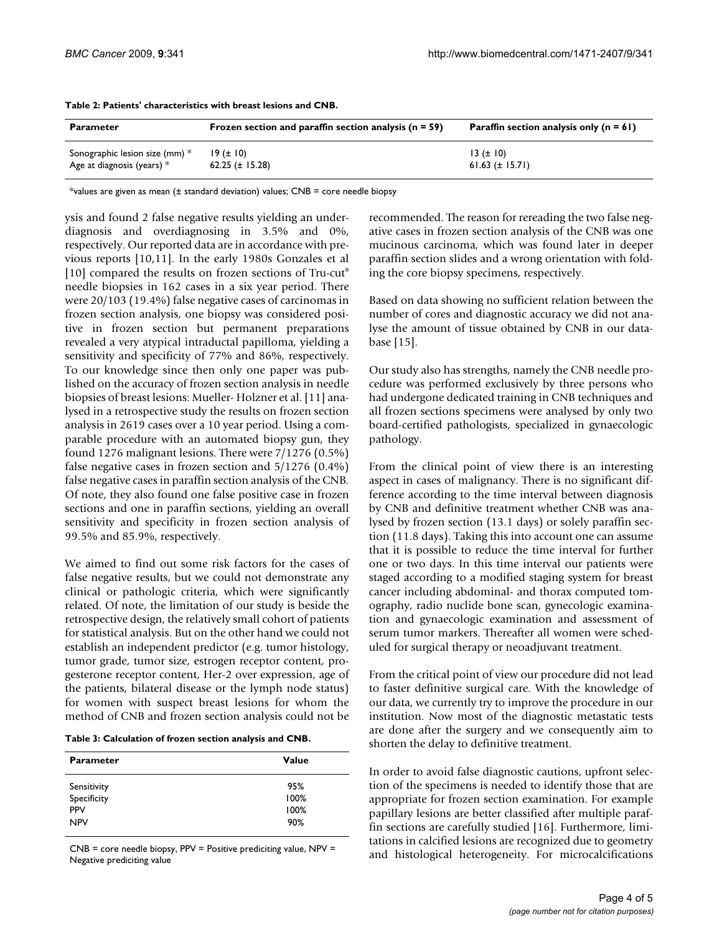| <b>Parameter</b>               | Frozen section and paraffin section analysis ( $n = 59$ ) | Paraffin section analysis only $(n = 61)$ |
|--------------------------------|-----------------------------------------------------------|-------------------------------------------|
| Sonographic lesion size (mm) * | 19 (± 10)                                                 | $13 (\pm 10)$                             |
| Age at diagnosis (years) $*$   | $62.25 (\pm 15.28)$                                       | $61.63 \ (\pm 15.71)$                     |

<span id="page-3-0"></span>**Table 2: Patients' characteristics with breast lesions and CNB.**

\*values are given as mean ( $\pm$  standard deviation) values; CNB = core needle biopsy

ysis and found 2 false negative results yielding an underdiagnosis and overdiagnosing in 3.5% and 0%, respectively. Our reported data are in accordance with previous reports [[10,](#page-4-14)[11](#page-4-9)]. In the early 1980s Gonzales et al [[10](#page-4-14)] compared the results on frozen sections of Tru-cut<sup>®</sup> needle biopsies in 162 cases in a six year period. There were 20/103 (19.4%) false negative cases of carcinomas in frozen section analysis, one biopsy was considered positive in frozen section but permanent preparations revealed a very atypical intraductal papilloma, yielding a sensitivity and specificity of 77% and 86%, respectively. To our knowledge since then only one paper was published on the accuracy of frozen section analysis in needle biopsies of breast lesions: Mueller- Holzner et al. [[11\]](#page-4-9) analysed in a retrospective study the results on frozen section analysis in 2619 cases over a 10 year period. Using a comparable procedure with an automated biopsy gun, they found 1276 malignant lesions. There were 7/1276 (0.5%) false negative cases in frozen section and 5/1276 (0.4%) false negative cases in paraffin section analysis of the CNB. Of note, they also found one false positive case in frozen sections and one in paraffin sections, yielding an overall sensitivity and specificity in frozen section analysis of 99.5% and 85.9%, respectively.

We aimed to find out some risk factors for the cases of false negative results, but we could not demonstrate any clinical or pathologic criteria, which were significantly related. Of note, the limitation of our study is beside the retrospective design, the relatively small cohort of patients for statistical analysis. But on the other hand we could not establish an independent predictor (e.g. tumor histology, tumor grade, tumor size, estrogen receptor content, progesterone receptor content, Her-2 over expression, age of the patients, bilateral disease or the lymph node status) for women with suspect breast lesions for whom the method of CNB and frozen section analysis could not be

<span id="page-3-1"></span>

| <b>Parameter</b> | <b>Value</b> |
|------------------|--------------|
| Sensitivity      | 95%          |
| Specificity      | 100%         |
| <b>PPV</b>       | 100%         |
| <b>NPV</b>       | 90%          |

 $CNB = core$  needle biopsy, PPV = Positive prediciting value, NPV = Negative prediciting value

recommended. The reason for rereading the two false negative cases in frozen section analysis of the CNB was one mucinous carcinoma, which was found later in deeper paraffin section slides and a wrong orientation with folding the core biopsy specimens, respectively.

Based on data showing no sufficient relation between the number of cores and diagnostic accuracy we did not analyse the amount of tissue obtained by CNB in our database [[15](#page-4-15)].

Our study also has strengths, namely the CNB needle procedure was performed exclusively by three persons who had undergone dedicated training in CNB techniques and all frozen sections specimens were analysed by only two board-certified pathologists, specialized in gynaecologic pathology.

From the clinical point of view there is an interesting aspect in cases of malignancy. There is no significant difference according to the time interval between diagnosis by CNB and definitive treatment whether CNB was analysed by frozen section (13.1 days) or solely paraffin section (11.8 days). Taking this into account one can assume that it is possible to reduce the time interval for further one or two days. In this time interval our patients were staged according to a modified staging system for breast cancer including abdominal- and thorax computed tomography, radio nuclide bone scan, gynecologic examination and gynaecologic examination and assessment of serum tumor markers. Thereafter all women were scheduled for surgical therapy or neoadjuvant treatment.

From the critical point of view our procedure did not lead to faster definitive surgical care. With the knowledge of our data, we currently try to improve the procedure in our institution. Now most of the diagnostic metastatic tests are done after the surgery and we consequently aim to shorten the delay to definitive treatment.

In order to avoid false diagnostic cautions, upfront selection of the specimens is needed to identify those that are appropriate for frozen section examination. For example papillary lesions are better classified after multiple paraffin sections are carefully studied [[16\]](#page-4-16). Furthermore, limitations in calcified lesions are recognized due to geometry and histological heterogeneity. For microcalcifications